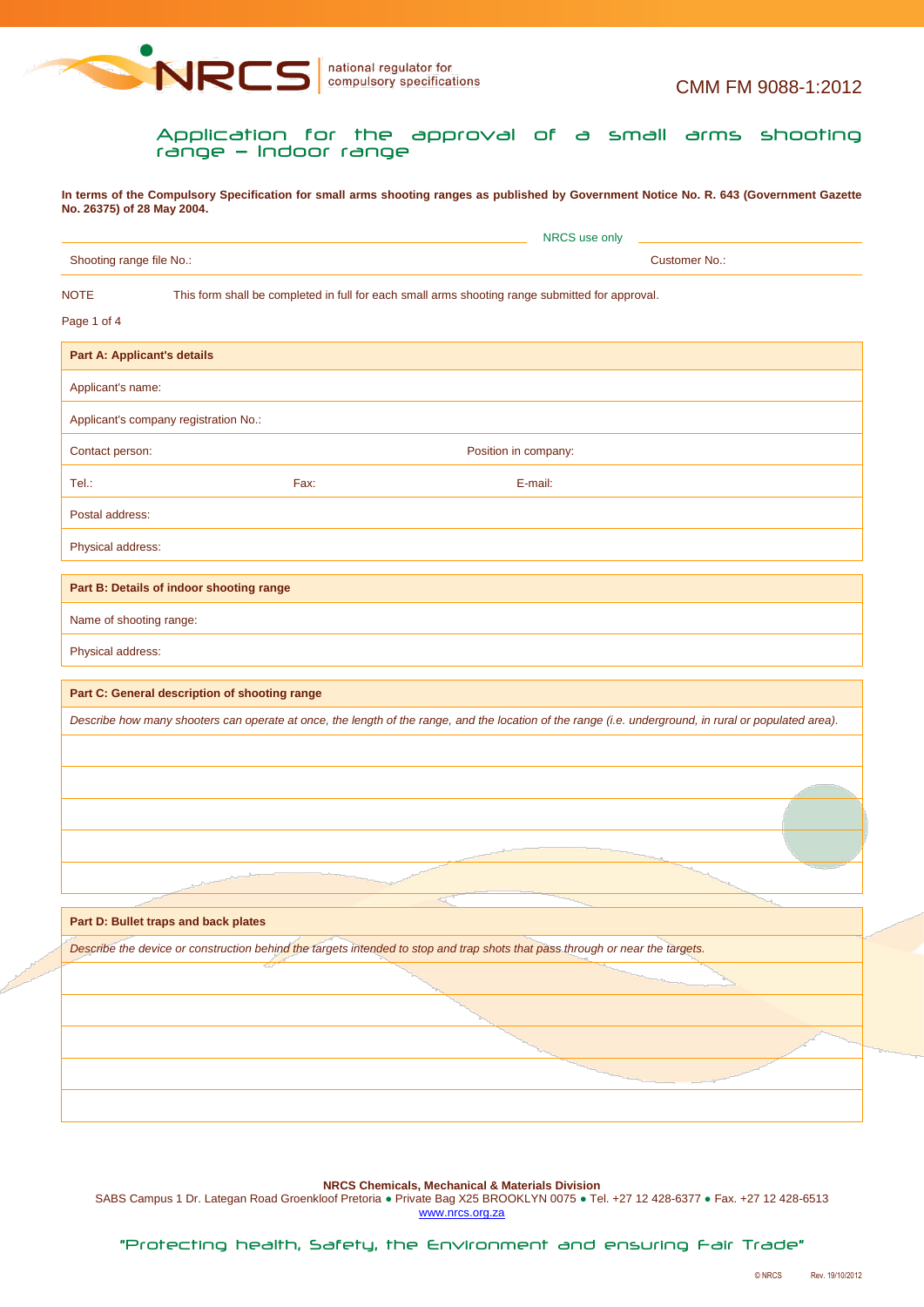

Application for the approval of a small arms shooting range — Indoor range

**In terms of the Compulsory Specification for small arms shooting ranges as published by Government Notice No. R. 643 (Government Gazette No. 26375) of 28 May 2004.**

| Shooting range file No.: |                                                                                                 | Customer No.:                                                                                                                                          |
|--------------------------|-------------------------------------------------------------------------------------------------|--------------------------------------------------------------------------------------------------------------------------------------------------------|
| <b>NOTE</b>              | This form shall be completed in full for each small arms shooting range submitted for approval. |                                                                                                                                                        |
| Page 1 of 4              |                                                                                                 |                                                                                                                                                        |
|                          | <b>Part A: Applicant's details</b>                                                              |                                                                                                                                                        |
| Applicant's name:        |                                                                                                 |                                                                                                                                                        |
|                          | Applicant's company registration No.:                                                           |                                                                                                                                                        |
| Contact person:          |                                                                                                 | Position in company:                                                                                                                                   |
| Tel.:                    | Fax:                                                                                            | E-mail:                                                                                                                                                |
| Postal address:          |                                                                                                 |                                                                                                                                                        |
| Physical address:        |                                                                                                 |                                                                                                                                                        |
|                          | Part B: Details of indoor shooting range                                                        |                                                                                                                                                        |
|                          |                                                                                                 |                                                                                                                                                        |
| Name of shooting range:  |                                                                                                 |                                                                                                                                                        |
| Physical address:        |                                                                                                 |                                                                                                                                                        |
|                          |                                                                                                 |                                                                                                                                                        |
|                          | Part C: General description of shooting range                                                   |                                                                                                                                                        |
|                          |                                                                                                 | Describe how many shooters can operate at once, the length of the range, and the location of the range (i.e. underground, in rural or populated area). |
|                          |                                                                                                 |                                                                                                                                                        |
|                          |                                                                                                 |                                                                                                                                                        |
|                          |                                                                                                 |                                                                                                                                                        |
|                          |                                                                                                 |                                                                                                                                                        |
|                          |                                                                                                 |                                                                                                                                                        |
|                          | Part D: Bullet traps and back plates                                                            |                                                                                                                                                        |
|                          |                                                                                                 | Describe the device or construction behind the targets intended to stop and trap shots that pass through or near the targets.                          |
|                          |                                                                                                 |                                                                                                                                                        |
|                          |                                                                                                 |                                                                                                                                                        |
|                          |                                                                                                 |                                                                                                                                                        |
|                          |                                                                                                 |                                                                                                                                                        |

**NRCS Chemicals, Mechanical & Materials Division**

SABS Campus 1 Dr. Lategan Road Groenkloof Pretoria · Private Bag X25 BROOKLYN 0075 · Tel. +27 12 428-6377 · Fax. +27 12 428-6513 www.nrcs.org.za

"Protecting health, Safety, the Environment and ensuring Fair Trade"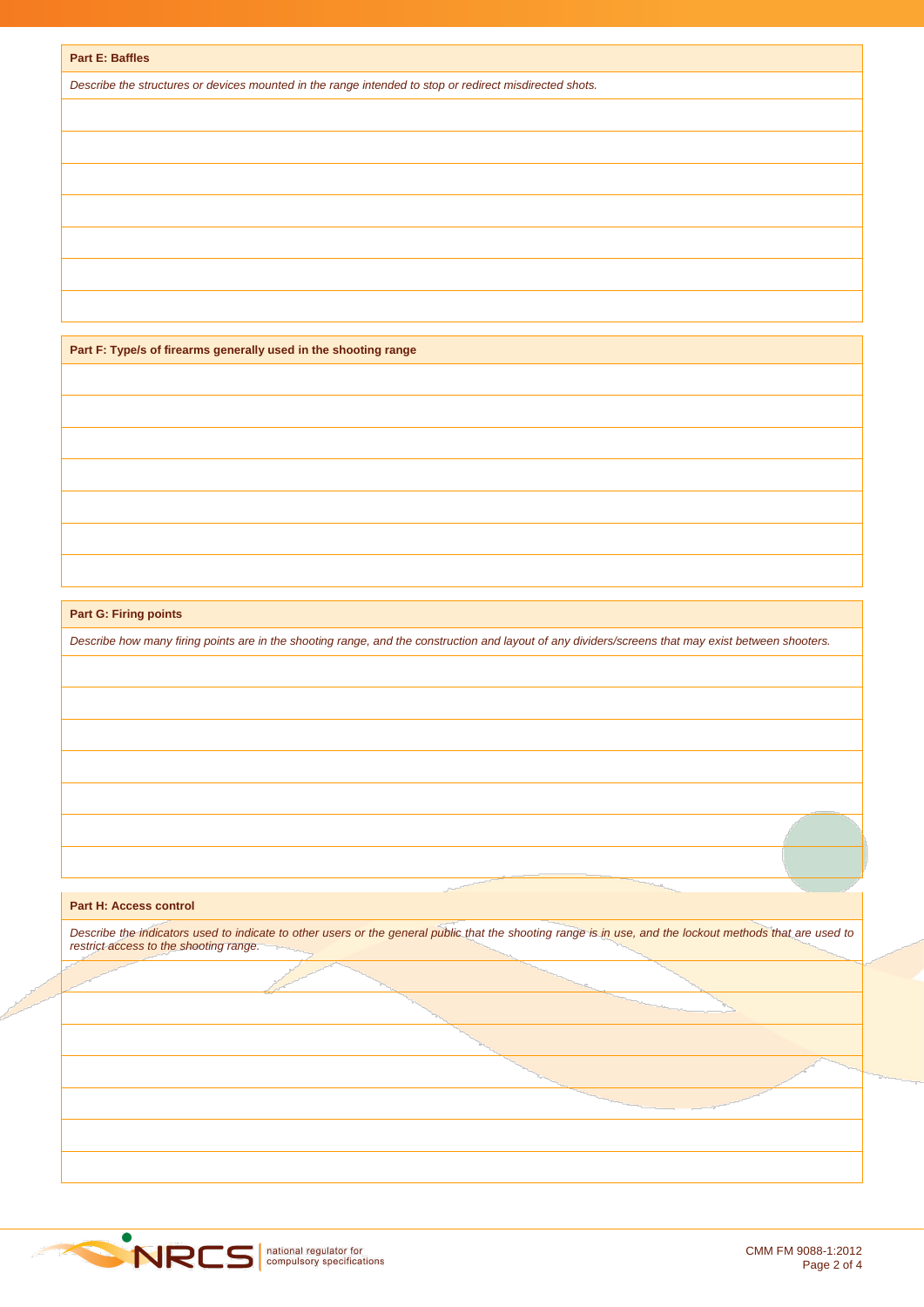*Describe the structures or devices mounted in the range intended to stop or redirect misdirected shots.*

**Part F: Type/s of firearms generally used in the shooting range**

**Part G: Firing points**

*Describe how many firing points are in the shooting range, and the construction and layout of any dividers/screens that may exist between shooters.*

## **Part H: Access control**

*Describe the indicators used to indicate to other users or the general public that the shooting range is in use, and the lockout methods that are used to restrict access to the shooting range.*

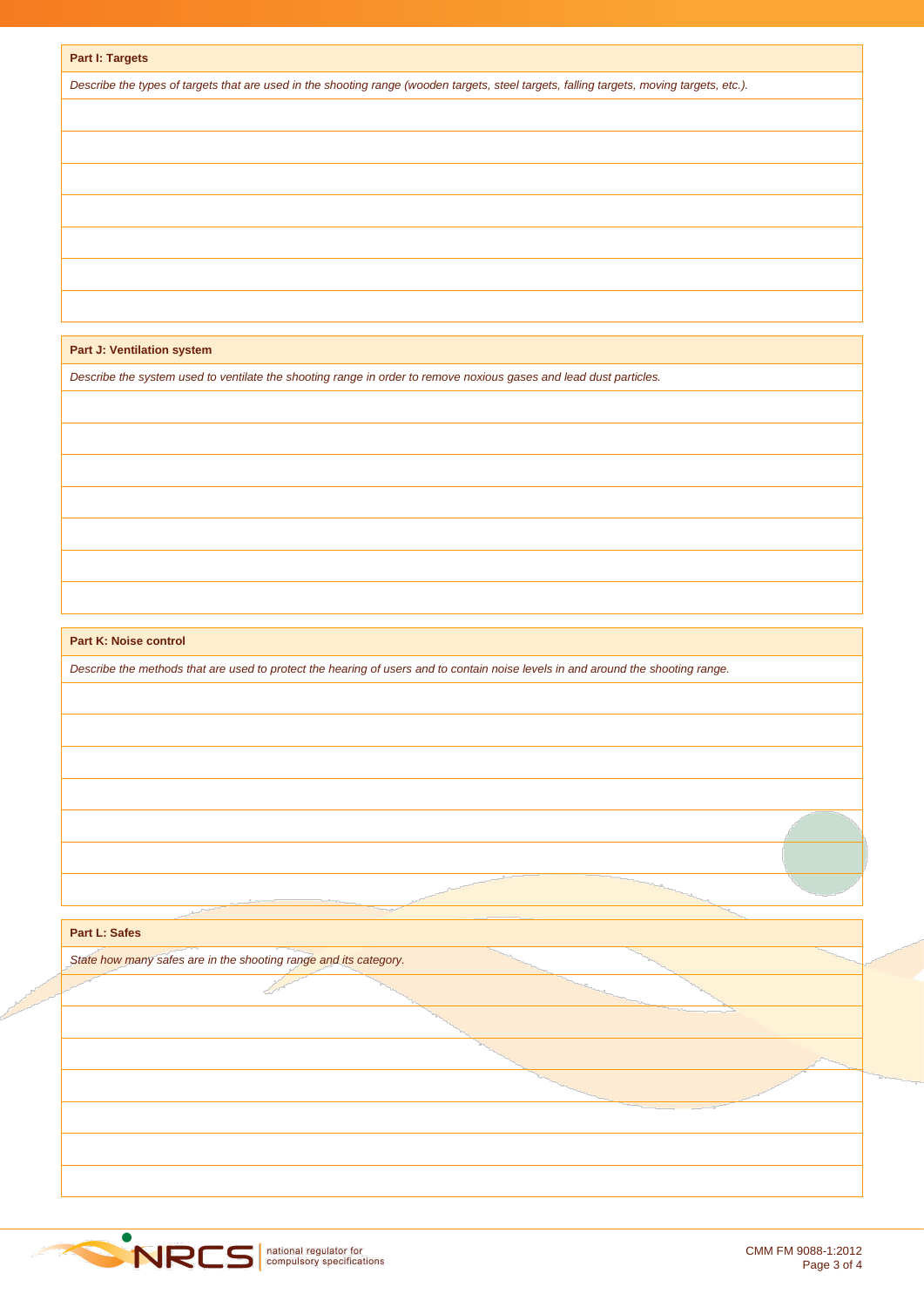|  | Part I: Targets |
|--|-----------------|
|--|-----------------|

*Describe the types of targets that are used in the shooting range (wooden targets, steel targets, falling targets, moving targets, etc.).*

**Part J: Ventilation system**

*Describe the system used to ventilate the shooting range in order to remove noxious gases and lead dust particles.*

**Part K: Noise control**

*Describe the methods that are used to protect the hearing of users and to contain noise levels in and around the shooting range.*

**Part L: Safes**

*State how many safes are in the shooting range and its category.*